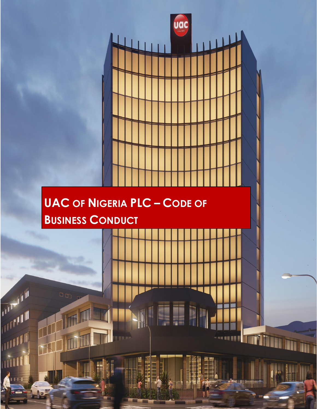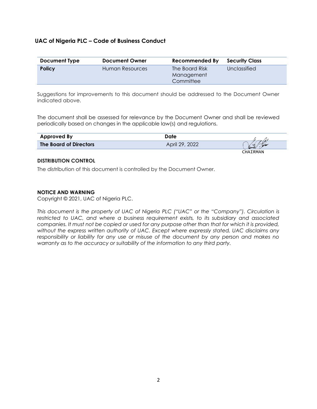# **UAC of Nigeria PLC – Code of Business Conduct**

| Document Type | <b>Document Owner</b> | Recommended By                            | <b>Security Class</b> |
|---------------|-----------------------|-------------------------------------------|-----------------------|
| <b>Policy</b> | Human Resources       | The Board Risk<br>Management<br>Committee | Unclassified          |

Suggestions for improvements to this document should be addressed to the Document Owner indicated above.

The document shall be assessed for relevance by the Document Owner and shall be reviewed periodically based on changes in the applicable law(s) and regulations.

| <b>Approved By</b>            | Date           |                 |
|-------------------------------|----------------|-----------------|
| <b>The Board of Directors</b> | April 29, 2022 | ana             |
|                               |                | <b>CHATRMAN</b> |

### **DISTRIBUTION CONTROL**

The distribution of this document is controlled by the Document Owner.

## **NOTICE AND WARNING**

Copyright © 2021, UAC of Nigeria PLC.

*This document is the property of UAC of Nigeria PLC ("UAC" or the "Company"). Circulation is restricted to UAC, and where a business requirement exists, to its subsidiary and associated companies. It must not be copied or used for any purpose other than that for which it is provided, without the express written authority of UAC. Except where expressly stated, UAC disclaims any responsibility or liability for any use or misuse of the document by any person and makes no warranty as to the accuracy or suitability of the information to any third party.*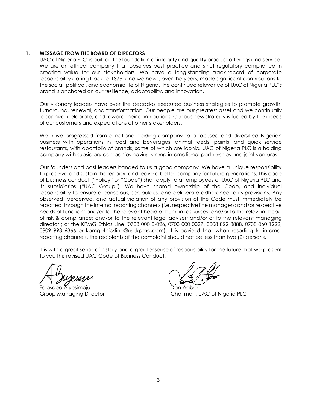## **1. MESSAGE FROM THE BOARD OF DIRECTORS**

UAC of Nigeria PLC is built on the foundation of integrity and quality product offerings and service. We are an ethical company that observes best practice and strict regulatory compliance in creating value for our stakeholders. We have a long-standing track-record of corporate responsibility dating back to 1879, and we have, over the years, made significant contributions to the social, political, and economic life of Nigeria. The continued relevance of UAC of Nigeria PLC's brand is anchored on our resilience, adaptability, and innovation.

Our visionary leaders have over the decades executed business strategies to promote growth, turnaround, renewal, and transformation. Our people are our greatest asset and we continually recognize, celebrate, and reward their contributions. Our business strategy is fueled by the needs of our customers and expectations of other stakeholders.

We have progressed from a national trading company to a focused and diversified Nigerian business with operations in food and beverages, animal feeds, paints, and quick service restaurants, with aportfolio of brands, some of which are iconic. UAC of Nigeria PLC is a holding company with subsidiary companies having strong international partnerships and joint ventures.

Our founders and past leaders handed to us a good company. We have a unique responsibility to preserve and sustain the legacy, and leave a better company for future generations. This code of business conduct ("Policy" or "Code") shall apply to all employees of UAC of Nigeria PLC and its subsidiaries ("UAC Group"). We have shared ownership of the Code, and individual responsibility to ensure a conscious, scrupulous, and deliberate adherence to its provisions. Any observed, perceived, and actual violation of any provision of the Code must immediately be reported through the internal reporting channels (i.e. respective line managers; and/or respective heads of function; and/or to the relevant head of human resources; and/or to the relevant head of risk & compliance; and/or to the relevant legal adviser; and/or or to the relevant managing director); or the KPMG Ethics Line (0703 000 0-026, 0703 000 0027, 0808 822 8888, 0708 060 1222, 0809 993 6366 or kpmgethicsline@ng.kpmg,com). It is advised that when resorting to internal reporting channels, the recipients of the complaint should not be less than two (2) persons.

It is with a great sense of history and a greater sense of responsibility for the future that we present to you this revised UAC Code of Business Conduct.

Folasope Aiyesimoju

Group Managing Director Chairman, UAC of Nigeria PLC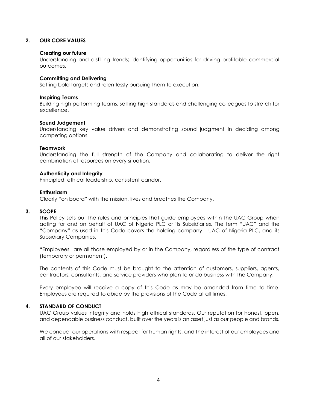## **2. OUR CORE VALUES**

### **Creating our future**

Understanding and distilling trends; identifying opportunities for driving profitable commercial outcomes.

#### **Committing and Delivering**

Setting bold targets and relentlessly pursuing them to execution.

#### **Inspiring Teams**

Building high performing teams, setting high standards and challenging colleagues to stretch for excellence.

#### **Sound Judgement**

Understanding key value drivers and demonstrating sound judgment in deciding among competing options.

### **Teamwork**

Understanding the full strength of the Company and collaborating to deliver the right combination of resources on every situation.

### **Authenticity and Integrity**

Principled, ethical leadership, consistent candor.

#### **Enthusiasm**

Clearly "on board" with the mission, lives and breathes the Company.

### **3. SCOPE**

This Policy sets out the rules and principles that guide employees within the UAC Group when acting for and on behalf of UAC of Nigeria PLC or its Subsidiaries. The term "UAC" and the "Company" as used in this Code covers the holding company - UAC of Nigeria PLC, and its Subsidiary Companies.

"Employees" are all those employed by or in the Company, regardless of the type of contract (temporary or permanent).

The contents of this Code must be brought to the attention of customers, suppliers, agents, contractors, consultants, and service providers who plan to or do business with the Company.

Every employee will receive a copy of this Code as may be amended from time to time. Employees are required to abide by the provisions of the Code at all times.

## **4. STANDARD OF CONDUCT**

UAC Group values integrity and holds high ethical standards. Our reputation for honest, open, and dependable business conduct, built over the years is an asset just as our people and brands.

We conduct our operations with respect for human rights, and the interest of our employees and all of our stakeholders.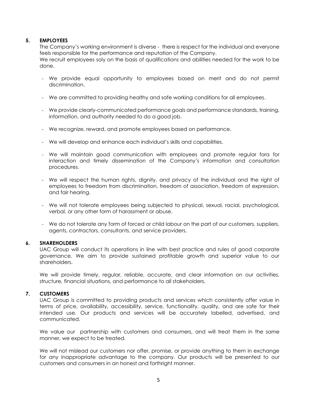## **5. EMPLOYEES**

The Company's working environment is diverse - there is respect for the individual and everyone feels responsible for the performance and reputation of the Company.

We recruit employees soly on the basis of qualifications and abilities needed for the work to be done.

- We provide equal opportunity to employees based on merit and do not permit discrimination.
- We are committed to providing healthy and safe working conditions for all employees.
- We provide clearly-communicated performance goals and performance standards, training, information, and authority needed to do a good job.
- We recognize, reward, and promote employees based on performance.
- We will develop and enhance each individual's skills and capabilities.
- We will maintain good communication with employees and promote regular fora for interaction and timely dissemination of the Company's information and consultation procedures.
- We will respect the human rights, dignity, and privacy of the individual and the right of employees to freedom from discrimination, freedom of association, freedom of expression, and fair hearing.
- We will not tolerate employees being subjected to physical, sexual, racial, psychological, verbal, or any other form of harassment or abuse.
- We do not tolerate any form of forced or child labour on the part of our customers, suppliers, agents, contractors, consultants, and service providers.

## **6. SHAREHOLDERS**

UAC Group will conduct its operations in line with best practice and rules of good corporate governance. We aim to provide sustained profitable growth and superior value to our shareholders.

We will provide timely, regular, reliable, accurate, and clear information on our activities, structure, financial situations, and performance to all stakeholders.

### **7. CUSTOMERS**

UAC Group is committed to providing products and services which consistently offer value in terms of price, availability, accessibility, service, functionality, quality, and are safe for their intended use. Our products and services will be accurately labelled, advertised, and communicated.

We value our partnership with customers and consumers, and will treat them in the same manner, we expect to be treated.

We will not mislead our customers nor offer, promise, or provide anything to them in exchange for any inappropriate advantage to the company. Our products will be presented to our customers and consumers in an honest and forthright manner.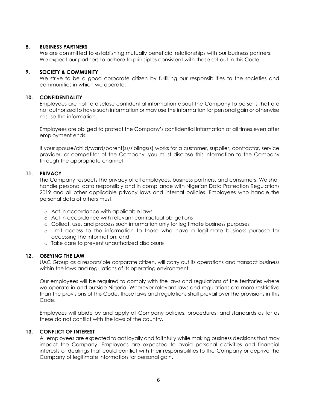## **8. BUSINESS PARTNERS**

We are committed to establishing mutually beneficial relationships with our business partners. We expect our partners to adhere to principles consistent with those set out in this Code.

### **9. SOCIETY & COMMUNITY**

We strive to be a good corporate citizen by fulfilling our responsibilities to the societies and communities in which we operate.

### **10. CONFIDENTIALITY**

Employees are not to disclose confidential information about the Company to persons that are not authorized to have such information or may use the information for personal gain or otherwise misuse the information.

Employees are obliged to protect the Company's confidential information at all times even after employment ends.

If your spouse/child/ward/parent(s)/siblings(s) works for a customer, supplier, contractor, service provider, or competitor of the Company, you must disclose this information to the Company through the appropriate channel

### **11. PRIVACY**

The Company respects the privacy of all employees, business partners, and consumers. We shall handle personal data responsibly and in compliance with Nigerian Data Protection Regulations 2019 and all other applicable privacy laws and internal policies. Employees who handle the personal data of others must:

- o Act in accordance with applicable laws
- o Act in accordance with relevant contractual obligations
- o Collect, use, and process such information only for legitimate business purposes
- o Limit access to the information to those who have a legitimate business purpose for accessing the information; and
- o Take care to prevent unauthorized disclosure

## **12. OBEYING THE LAW**

UAC Group as a responsible corporate citizen, will carry out its operations and transact business within the laws and regulations of its operating environment.

Our employees will be required to comply with the laws and regulations of the territories where we operate in and outside Nigeria. Wherever relevant laws and regulations are more restrictive than the provisions of this Code, those laws and regulations shall prevail over the provisions in this Code.

Employees will abide by and apply all Company policies, procedures, and standards as far as these do not conflict with the laws of the country.

## **13. CONFLICT OF INTEREST**

All employees are expected to act loyally and faithfully while making business decisions that may impact the Company. Employees are expected to avoid personal activities and financial interests or dealings that could conflict with their responsibilities to the Company or deprive the Company of legitimate information for personal gain.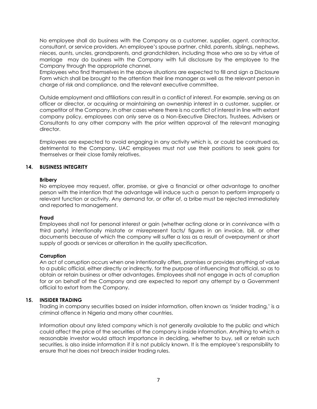No employee shall do business with the Company as a customer, supplier, agent, contractor, consultant, or service providers. An employee's spouse partner, child, parents, siblings, nephews, nieces, aunts, uncles, grandparents, and grandchildren, including those who are so by virtue of marriage may do business with the Company with full disclosure by the employee to the Company through the appropriate channel.

Employees who find themselves in the above situations are expected to fill and sign a Disclosure Form which shall be brought to the attention their line manager as well as the relevant person in charge of risk and compliance, and the relevant executive committee.

Outside employment and affiliations can result in a conflict of interest. For example, serving as an officer or director, or acquiring or maintaining an ownership interest in a customer, supplier, or competitor of the Company. In other cases where there is no conflict of interest in line with extant company policy, employees can only serve as a Non-Executive Directors, Trustees, Advisers or Consultants to any other company with the prior written approval of the relevant managing director.

Employees are expected to avoid engaging in any activity which is, or could be construed as, detrimental to the Company. UAC employees must not use their positions to seek gains for themselves or their close family relatives.

## **14. BUSINESS INTEGRITY**

### **Bribery**

No employee may request, offer, promise, or give a financial or other advantage to another person with the intention that the advantage will induce such a person to perform improperly a relevant function or activity. Any demand for, or offer of, a bribe must be rejected immediately and reported to management.

### **Fraud**

Employees shall not for personal interest or gain (whether acting alone or in connivance with a third party) intentionally misstate or misrepresent facts/ figures in an invoice, bill, or other documents because of which the company will suffer a loss as a result of overpayment or short supply of goods or services or alteration in the quality specification.

### **Corruption**

An act of corruption occurs when one intentionally offers, promises or provides anything of value to a public official, either directly or indirectly, for the purpose of influencing that official, so as to obtain or retain business or other advantages. Employees shall not engage in acts of corruption for or on behalf of the Company and are expected to report any attempt by a Government official to extort from the Company.

## **15. INSIDER TRADING**

Trading in company securities based on insider information, often known as 'insider trading,' is a criminal offence in Nigeria and many other countries.

Information about any listed company which is not generally available to the public and which could affect the price of the securities of the company is inside information. Anything to which a reasonable investor would attach importance in deciding, whether to buy, sell or retain such securities, is also inside information if it is not publicly known. It is the employee's responsibility to ensure that he does not breach insider trading rules.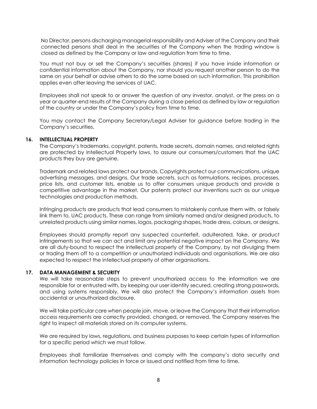No Director, persons discharging managerial responsibility and Adviser of the Company and their connected persons shall deal in the securities of the Company when the trading window is closed as defined by the Company or law and regulation from time to time.

You must not buy or sell the Company's securities (shares) if you have inside information or confidential information about the Company, nor should you request another person to do the same on your behalf or advise others to do the same based on such information. This prohibition applies even after leaving the services of UAC.

Employees shall not speak to or answer the question of any investor, analyst, or the press on a year or quarter-end results of the Company during a close period as defined by law or regulation of the country or under the Company's policy from time to time.

You may contact the Company Secretary/Legal Adviser for guidance before trading in the Company's securities.

### **16. INTELLECTUAL PROPERTY**

The Company's trademarks, copyright, patents, trade secrets, domain names, and related rights are protected by Intellectual Property laws, to assure our consumers/customers that the UAC products they buy are genuine.

Trademark and related laws protect our brands. Copyrights protect our communications, unique advertising messages, and designs. Our trade secrets, such as formulations, recipes, processes, price lists, and customer lists, enable us to offer consumers unique products and provide a competitive advantage in the market. Our patents protect our inventions such as our unique technologies and production methods.

Infringing products are products that lead consumers to mistakenly confuse them with, or falsely link them to, UAC products. These can range from similarly named and/or designed products, to unrelated products using similar names, logos, packaging shapes, trade dress, colours, or designs.

Employees should promptly report any suspected counterfeit, adulterated, fake, or product infringements so that we can act and limit any potential negative impact on the Company. We are all duty-bound to respect the intellectual property of the Company, by not divulging them or trading them off to a competition or unauthorized individuals and organisations. We are also expected to respect the intellectual property of other organisations.

### **17. DATA MANAGEMENT & SECURITY**

We will take reasonable steps to prevent unauthorized access to the information we are responsible for or entrusted with, by keeping our user identity secured, creating strong passwords, and using systems responsibly. We will also protect the Company's information assets from accidental or unauthorized disclosure.

We will take particular care when people join, move, or leave the Company that their information access requirements are correctly provided, changed, or removed. The Company reserves the right to inspect all materials stored on its computer systems.

We are required by laws, regulations, and business purposes to keep certain types of information for a specific period which we must follow.

Employees shall familiarize themselves and comply with the company's data security and information technology policies in force or issued and notified from time to time.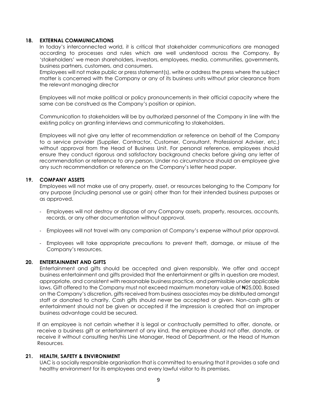### **18. EXTERNAL COMMUNICATIONS**

In today's interconnected world, it is critical that stakeholder communications are managed according to processes and rules which are well understood across the Company. By 'stakeholders' we mean shareholders, investors, employees, media, communities, governments, business partners, customers, and consumers.

Employees will not make public or press statement(s), write or address the press where the subject matter is concerned with the Company or any of its business units without prior clearance from the relevant managing director

Employees will not make political or policy pronouncements in their official capacity where the same can be construed as the Company's position or opinion.

Communication to stakeholders will be by authorized personnel of the Company in line with the existing policy on granting interviews and communicating to stakeholders.

Employees will not give any letter of recommendation or reference on behalf of the Company to a service provider (Supplier, Contractor, Customer, Consultant, Professional Adviser, etc.) without approval from the Head of Business Unit. For personal reference, employees should ensure they conduct rigorous and satisfactory background checks before giving any letter of recommendation or reference to any person. Under no circumstance should an employee give any such recommendation or reference on the Company's letter head paper.

### **19. COMPANY ASSETS**

Employees will not make use of any property, asset, or resources belonging to the Company for any purpose (including personal use or gain) other than for their intended business purposes or as approved.

- Employees will not destroy or dispose of any Company assets, property, resources, accounts, records, or any other documentation without approval.
- Employees will not travel with any companion at Company's expense without prior approval.
- Employees will take appropriate precautions to prevent theft, damage, or misuse of the Company's resources.

## **20. ENTERTAINMENT AND GIFTS**

Entertainment and gifts should be accepted and given responsibly. We offer and accept business entertainment and gifts provided that the entertainment or gifts in question are modest, appropriate, and consistent with reasonable business practice, and permissible under applicable laws. Gift offered to the Company must not exceed maximum monetary value of ₦25,000. Based on the Company's discretion, gifts received from business associates may be distributed amongst staff or donated to charity. Cash gifts should never be accepted or given. Non-cash gifts or entertainment should not be given or accepted if the impression is created that an improper business advantage could be secured.

If an employee is not certain whether it is legal or contractually permitted to offer, donate, or receive a business gift or entertainment of any kind, the employee should not offer, donate, or receive it without consulting her/his Line Manager, Head of Department, or the Head of Human Resources.

### **21. HEALTH, SAFETY & ENVIRONMENT**

UAC is a socially responsible organisation that is committed to ensuring that it provides a safe and healthy environment for its employees and every lawful visitor to its premises.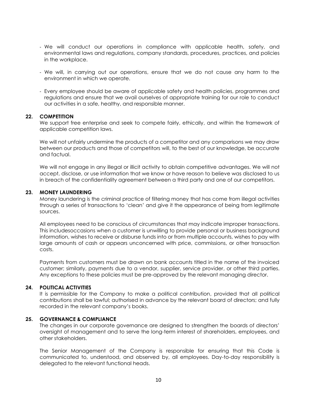- We will conduct our operations in compliance with applicable health, safety, and environmental laws and regulations, company standards, procedures, practices, and policies in the workplace.
- We will, in carrying out our operations, ensure that we do not cause any harm to the environment in which we operate.
- Every employee should be aware of applicable safety and health policies, programmes and regulations and ensure that we avail ourselves of appropriate training for our role to conduct our activities in a safe, healthy, and responsible manner.

## **22. COMPETITION**

We support free enterprise and seek to compete fairly, ethically, and within the framework of applicable competition laws.

We will not unfairly undermine the products of a competitor and any comparisons we may draw between our products and those of competitors will, to the best of our knowledge, be accurate and factual.

We will not engage in any illegal or illicit activity to obtain competitive advantages. We will not accept, disclose, or use information that we know or have reason to believe was disclosed to us in breach of the confidentiality agreement between a third party and one of our competitors.

### **23. MONEY LAUNDERING**

Money laundering is the criminal practice of filtering money that has come from illegal activities through a series of transactions to 'clean' and give it the appearance of being from legitimate sources.

All employees need to be conscious of circumstances that may indicate improper transactions. This includesoccasions when a customer is unwilling to provide personal or business background information, wishes to receive or disburse funds into or from multiple accounts, wishes to pay with large amounts of cash or appears unconcerned with price, commissions, or other transaction costs.

Payments from customers must be drawn on bank accounts titled in the name of the invoiced customer; similarly, payments due to a vendor, supplier, service provider, or other third parties. Any exceptions to these policies must be pre-approved by the relevant managing director.

## **24. POLITICAL ACTIVITIES**

It is permissible for the Company to make a political contribution, provided that all political contributions shall be lawful; authorised in advance by the relevant board of directors; and fully recorded in the relevant company's books.

## **25. GOVERNANCE & COMPLIANCE**

The changes in our corporate governance are designed to strengthen the boards of directors' oversight of management and to serve the long-term interest of shareholders, employees, and other stakeholders.

The Senior Management of the Company is responsible for ensuring that this Code is communicated to, understood, and observed by, all employees. Day-to-day responsibility is delegated to the relevant functional heads.